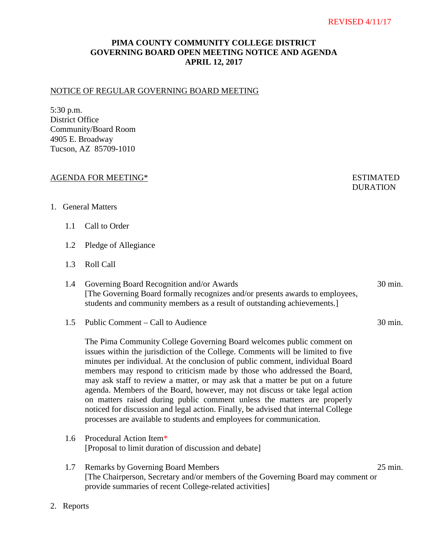## **PIMA COUNTY COMMUNITY COLLEGE DISTRICT GOVERNING BOARD OPEN MEETING NOTICE AND AGENDA APRIL 12, 2017**

#### NOTICE OF REGULAR GOVERNING BOARD MEETING

5:30 p.m. District Office Community/Board Room 4905 E. Broadway Tucson, AZ 85709-1010

#### AGENDA FOR MEETING\* ESTIMATED

# **DURATION**

- 1. General Matters
	- 1.1 Call to Order
	- 1.2 Pledge of Allegiance
	- 1.3 Roll Call
	- 1.4 Governing Board Recognition and/or Awards 30 min. [The Governing Board formally recognizes and/or presents awards to employees, students and community members as a result of outstanding achievements.]
	- 1.5 Public Comment Call to Audience 30 min.

The Pima Community College Governing Board welcomes public comment on issues within the jurisdiction of the College. Comments will be limited to five minutes per individual. At the conclusion of public comment, individual Board members may respond to criticism made by those who addressed the Board, may ask staff to review a matter, or may ask that a matter be put on a future agenda. Members of the Board, however, may not discuss or take legal action on matters raised during public comment unless the matters are properly noticed for discussion and legal action. Finally, be advised that internal College processes are available to students and employees for communication.

- 1.6 Procedural Action Item\* [Proposal to limit duration of discussion and debate]
- 1.7 Remarks by Governing Board Members 25 min. [The Chairperson, Secretary and/or members of the Governing Board may comment or provide summaries of recent College-related activities]
- 2. Reports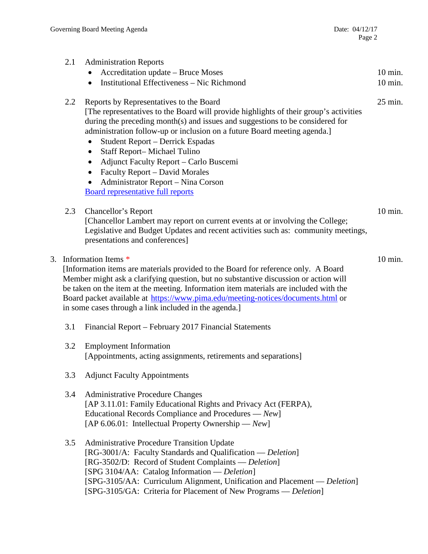|    | 2.1                                                                                                                                                                                                                                                                                                                                                                                                                                     | <b>Administration Reports</b><br>Accreditation update - Bruce Moses<br>$\bullet$<br>Institutional Effectiveness - Nic Richmond<br>$\bullet$                                                                                                                                                                                                                                                                                                                                                                                                                                        | 10 min.<br>10 min. |
|----|-----------------------------------------------------------------------------------------------------------------------------------------------------------------------------------------------------------------------------------------------------------------------------------------------------------------------------------------------------------------------------------------------------------------------------------------|------------------------------------------------------------------------------------------------------------------------------------------------------------------------------------------------------------------------------------------------------------------------------------------------------------------------------------------------------------------------------------------------------------------------------------------------------------------------------------------------------------------------------------------------------------------------------------|--------------------|
|    | 2.2                                                                                                                                                                                                                                                                                                                                                                                                                                     | Reports by Representatives to the Board<br>[The representatives to the Board will provide highlights of their group's activities<br>during the preceding month(s) and issues and suggestions to be considered for<br>administration follow-up or inclusion on a future Board meeting agenda.]<br>Student Report - Derrick Espadas<br>$\bullet$<br>Staff Report-Michael Tulino<br>$\bullet$<br>Adjunct Faculty Report - Carlo Buscemi<br>$\bullet$<br>Faculty Report - David Morales<br>$\bullet$<br>Administrator Report - Nina Corson<br><b>Board representative full reports</b> | 25 min.            |
|    | 2.3                                                                                                                                                                                                                                                                                                                                                                                                                                     | Chancellor's Report<br>[Chancellor Lambert may report on current events at or involving the College;<br>Legislative and Budget Updates and recent activities such as: community meetings,<br>presentations and conferences]                                                                                                                                                                                                                                                                                                                                                        | 10 min.            |
| 3. | Information Items *<br>[Information items are materials provided to the Board for reference only. A Board<br>Member might ask a clarifying question, but no substantive discussion or action will<br>be taken on the item at the meeting. Information item materials are included with the<br>Board packet available at https://www.pima.edu/meeting-notices/documents.html or<br>in some cases through a link included in the agenda.] |                                                                                                                                                                                                                                                                                                                                                                                                                                                                                                                                                                                    | $10 \text{ min.}$  |
|    | 3.1                                                                                                                                                                                                                                                                                                                                                                                                                                     | Financial Report – February 2017 Financial Statements                                                                                                                                                                                                                                                                                                                                                                                                                                                                                                                              |                    |
|    | 3.2                                                                                                                                                                                                                                                                                                                                                                                                                                     | <b>Employment Information</b><br>[Appointments, acting assignments, retirements and separations]                                                                                                                                                                                                                                                                                                                                                                                                                                                                                   |                    |
|    | 3.3                                                                                                                                                                                                                                                                                                                                                                                                                                     | <b>Adjunct Faculty Appointments</b>                                                                                                                                                                                                                                                                                                                                                                                                                                                                                                                                                |                    |
|    | 3.4                                                                                                                                                                                                                                                                                                                                                                                                                                     | <b>Administrative Procedure Changes</b><br>[AP 3.11.01: Family Educational Rights and Privacy Act (FERPA),<br>Educational Records Compliance and Procedures — New]<br>[AP 6.06.01: Intellectual Property Ownership — $New$ ]                                                                                                                                                                                                                                                                                                                                                       |                    |
|    | 3.5                                                                                                                                                                                                                                                                                                                                                                                                                                     | <b>Administrative Procedure Transition Update</b><br>[RG-3001/A: Faculty Standards and Qualification — Deletion]<br>[RG-3502/D: Record of Student Complaints — Deletion]<br>[SPG 3104/AA: Catalog Information — Deletion]<br>[SPG-3105/AA: Curriculum Alignment, Unification and Placement — Deletion]<br>[SPG-3105/GA: Criteria for Placement of New Programs - Deletion]                                                                                                                                                                                                         |                    |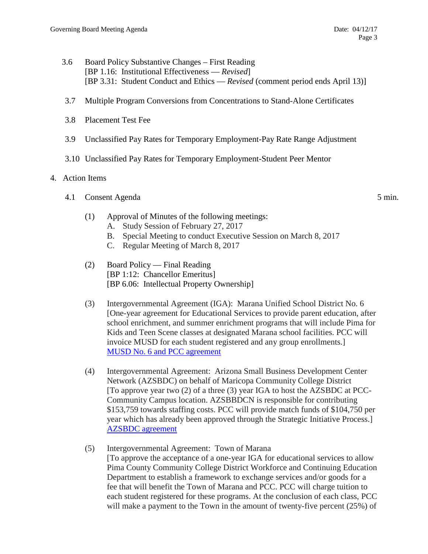- 3.6 Board Policy Substantive Changes First Reading [BP 1.16: Institutional Effectiveness — *Revised*] [BP 3.31: Student Conduct and Ethics — *Revised* (comment period ends April 13)]
- 3.7 Multiple Program Conversions from Concentrations to Stand-Alone Certificates
- 3.8 Placement Test Fee
- 3.9 Unclassified Pay Rates for Temporary Employment-Pay Rate Range Adjustment
- 3.10 Unclassified Pay Rates for Temporary Employment-Student Peer Mentor

### 4. Action Items

- 4.1 Consent Agenda 5 min.
	- (1) Approval of Minutes of the following meetings:
		- A. Study Session of February 27, 2017
		- B. Special Meeting to conduct Executive Session on March 8, 2017
		- C. Regular Meeting of March 8, 2017
	- (2) Board Policy Final Reading [BP 1:12: Chancellor Emeritus] [BP 6.06: Intellectual Property Ownership]
	- (3) Intergovernmental Agreement (IGA): Marana Unified School District No. 6 [One-year agreement for Educational Services to provide parent education, after school enrichment, and summer enrichment programs that will include Pima for Kids and Teen Scene classes at designated Marana school facilities. PCC will invoice MUSD for each student registered and any group enrollments.] [MUSD No. 6 and PCC agreement](https://www.pima.edu/meeting-notices-support/2017-docs/201704-12-marana-unified-school-district-iga.pdf)
	- (4) Intergovernmental Agreement: Arizona Small Business Development Center Network (AZSBDC) on behalf of Maricopa Community College District [To approve year two (2) of a three (3) year IGA to host the AZSBDC at PCC-Community Campus location. AZSBBDCN is responsible for contributing \$153,759 towards staffing costs. PCC will provide match funds of \$104,750 per year which has already been approved through the Strategic Initiative Process.] [AZSBDC agreement](https://www.pima.edu/meeting-notices-support/2017-docs/201704-12-arizona-small-business-development-center-iga.pdfhttps:/www.pima.edu/meeting-notices-support/2017-docs/201704-12-arizona-small-business-development-center-iga.pdf)
	- (5) Intergovernmental Agreement: Town of Marana [To approve the acceptance of a one-year IGA for educational services to allow Pima County Community College District Workforce and Continuing Education Department to establish a framework to exchange services and/or goods for a fee that will benefit the Town of Marana and PCC. PCC will charge tuition to each student registered for these programs. At the conclusion of each class, PCC will make a payment to the Town in the amount of twenty-five percent (25%) of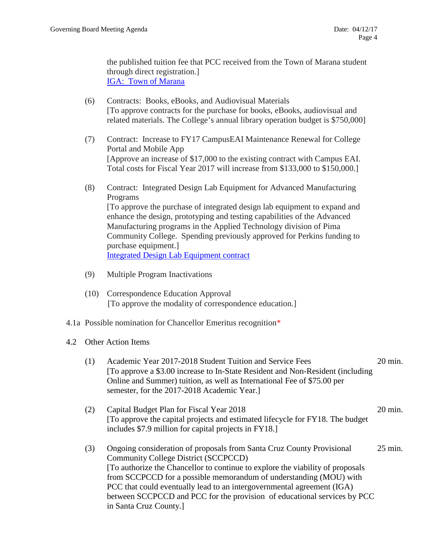the published tuition fee that PCC received from the Town of Marana student through direct registration.] [IGA: Town of Marana](https://pima.edu/meeting-notices-support/2017-docs/201704-12-marana-unified-school-district-iga-final.pdf)

- (6) Contracts: Books, eBooks, and Audiovisual Materials [To approve contracts for the purchase for books, eBooks, audiovisual and related materials. The College's annual library operation budget is \$750,000]
- (7) Contract: Increase to FY17 CampusEAI Maintenance Renewal for College Portal and Mobile App [Approve an increase of \$17,000 to the existing contract with Campus EAI. Total costs for Fiscal Year 2017 will increase from \$133,000 to \$150,000.]
- (8) Contract: Integrated Design Lab Equipment for Advanced Manufacturing Programs [To approve the purchase of integrated design lab equipment to expand and enhance the design, prototyping and testing capabilities of the Advanced Manufacturing programs in the Applied Technology division of Pima Community College. Spending previously approved for Perkins funding to purchase equipment.] [Integrated Design Lab Equipment contract](https://pima.edu/meeting-notices-support/2017-docs/201704-12-integrated-design-lab-equipment.pdf)
- (9) Multiple Program Inactivations
- (10) Correspondence Education Approval [To approve the modality of correspondence education.]
- 4.1a Possible nomination for Chancellor Emeritus recognition\*
- 4.2 Other Action Items
	- (1) Academic Year 2017-2018 Student Tuition and Service Fees 20 min. [To approve a \$3.00 increase to In-State Resident and Non-Resident (including Online and Summer) tuition, as well as International Fee of \$75.00 per semester, for the 2017-2018 Academic Year.]
	- (2) Capital Budget Plan for Fiscal Year 2018 20 min. [To approve the capital projects and estimated lifecycle for FY18. The budget includes \$7.9 million for capital projects in FY18.]
	- (3) Ongoing consideration of proposals from Santa Cruz County Provisional 25 min. Community College District (SCCPCCD) [To authorize the Chancellor to continue to explore the viability of proposals from SCCPCCD for a possible memorandum of understanding (MOU) with PCC that could eventually lead to an intergovernmental agreement (IGA) between SCCPCCD and PCC for the provision of educational services by PCC in Santa Cruz County.]